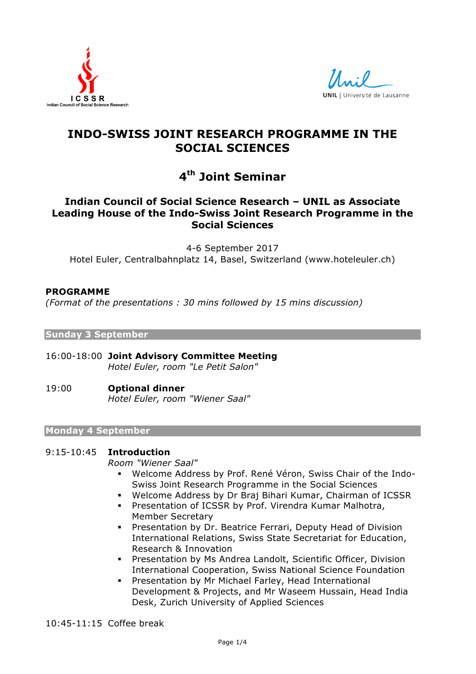



# **INDO-SWISS JOINT RESEARCH PROGRAMME IN THE SOCIAL SCIENCES**

# **4th Joint Seminar**

# **Indian Council of Social Science Research – UNIL as Associate Leading House of the Indo-Swiss Joint Research Programme in the Social Sciences**

4-6 September 2017 Hotel Euler, Centralbahnplatz 14, Basel, Switzerland (www.hoteleuler.ch)

# **PROGRAMME**

*(Format of the presentations : 30 mins followed by 15 mins discussion)*

# **Sunday 3 September**

- 16:00-18:00 **Joint Advisory Committee Meeting**  *Hotel Euler, room "Le Petit Salon"*
- 19:00 **Optional dinner** *Hotel Euler, room "Wiener Saal"*

# **Monday 4 September**

# 9:15-10:45 **Introduction**

*Room "Wiener Saal"*

- ! Welcome Address by Prof. René Véron, Swiss Chair of the Indo-Swiss Joint Research Programme in the Social Sciences
- ! Welcome Address by Dr Braj Bihari Kumar, Chairman of ICSSR
- ! Presentation of ICSSR by Prof. Virendra Kumar Malhotra, Member Secretary
- ! Presentation by Dr. Beatrice Ferrari, Deputy Head of Division International Relations, Swiss State Secretariat for Education, Research & Innovation
- ! Presentation by Ms Andrea Landolt, Scientific Officer, Division International Cooperation, Swiss National Science Foundation
- ! Presentation by Mr Michael Farley, Head International Development & Projects, and Mr Waseem Hussain, Head India Desk, Zurich University of Applied Sciences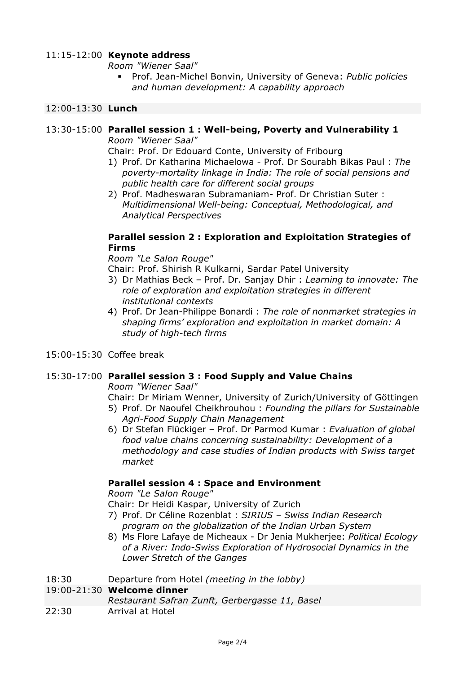# 11:15-12:00 **Keynote address**

*Room "Wiener Saal"*

! Prof. Jean-Michel Bonvin, University of Geneva: *Public policies and human development: A capability approach*

### 12:00-13:30 **Lunch**

# 13:30-15:00 **Parallel session 1 : Well-being, Poverty and Vulnerability 1**

*Room "Wiener Saal"*

Chair: Prof. Dr Edouard Conte, University of Fribourg

- 1) Prof. Dr Katharina Michaelowa Prof. Dr Sourabh Bikas Paul : *The poverty-mortality linkage in India: The role of social pensions and public health care for different social groups*
- 2) Prof. Madheswaran Subramaniam- Prof. Dr Christian Suter : *Multidimensional Well-being: Conceptual, Methodological, and Analytical Perspectives*

# **Parallel session 2 : Exploration and Exploitation Strategies of Firms**

*Room "Le Salon Rouge"*

Chair: Prof. Shirish R Kulkarni, Sardar Patel University

- 3) Dr Mathias Beck Prof. Dr. Sanjay Dhir : *Learning to innovate: The role of exploration and exploitation strategies in different institutional contexts*
- 4) Prof. Dr Jean-Philippe Bonardi : *The role of nonmarket strategies in shaping firms' exploration and exploitation in market domain: A study of high-tech firms*
- 15:00-15:30 Coffee break

# 15:30-17:00 **Parallel session 3 : Food Supply and Value Chains**

*Room "Wiener Saal"*

Chair: Dr Miriam Wenner, University of Zurich/University of Göttingen

- 5) Prof. Dr Naoufel Cheikhrouhou : *Founding the pillars for Sustainable Agri-Food Supply Chain Management*
- 6) Dr Stefan Flückiger Prof. Dr Parmod Kumar : *Evaluation of global food value chains concerning sustainability: Development of a methodology and case studies of Indian products with Swiss target market*

# **Parallel session 4 : Space and Environment**

*Room "Le Salon Rouge"*

Chair: Dr Heidi Kaspar, University of Zurich

- 7) Prof. Dr Céline Rozenblat : *SIRIUS – Swiss Indian Research program on the globalization of the Indian Urban System*
- 8) Ms Flore Lafaye de Micheaux Dr Jenia Mukherjee: *Political Ecology of a River: Indo-Swiss Exploration of Hydrosocial Dynamics in the Lower Stretch of the Ganges*
- 18:30 Departure from Hotel *(meeting in the lobby)*

#### 19:00-21:30 **Welcome dinner**

- *Restaurant Safran Zunft, Gerbergasse 11, Basel*
- 22:30 Arrival at Hotel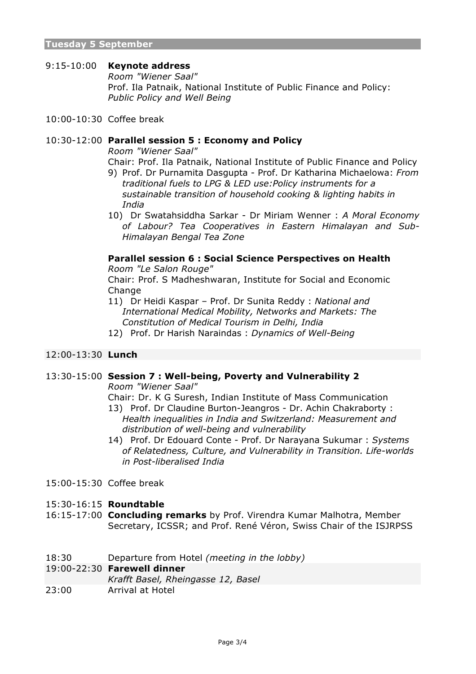# 9:15-10:00 **Keynote address**

*Room "Wiener Saal"* Prof. Ila Patnaik, National Institute of Public Finance and Policy: *Public Policy and Well Being*

10:00-10:30 Coffee break

# 10:30-12:00 **Parallel session 5 : Economy and Policy**

*Room "Wiener Saal"*

- Chair: Prof. Ila Patnaik, National Institute of Public Finance and Policy
- 9) Prof. Dr Purnamita Dasgupta Prof. Dr Katharina Michaelowa: *From traditional fuels to LPG & LED use:Policy instruments for a sustainable transition of household cooking & lighting habits in India*
- 10) Dr Swatahsiddha Sarkar Dr Miriam Wenner : *A Moral Economy of Labour? Tea Cooperatives in Eastern Himalayan and Sub-Himalayan Bengal Tea Zone*

# **Parallel session 6 : Social Science Perspectives on Health**

*Room "Le Salon Rouge"*

Chair: Prof. S Madheshwaran, Institute for Social and Economic Change

- 11) Dr Heidi Kaspar Prof. Dr Sunita Reddy : *National and International Medical Mobility, Networks and Markets: The Constitution of Medical Tourism in Delhi, India*
- 12) Prof. Dr Harish Naraindas : *Dynamics of Well-Being*

#### 12:00-13:30 **Lunch**

# 13:30-15:00 **Session 7 : Well-being, Poverty and Vulnerability 2**

*Room "Wiener Saal"*

Chair: Dr. K G Suresh, Indian Institute of Mass Communication

- 13) Prof. Dr Claudine Burton-Jeangros Dr. Achin Chakraborty : *Health inequalities in India and Switzerland: Measurement and distribution of well-being and vulnerability*
- 14) Prof. Dr Edouard Conte Prof. Dr Narayana Sukumar : *Systems of Relatedness, Culture, and Vulnerability in Transition. Life-worlds in Post-liberalised India*
- 15:00-15:30 Coffee break
- 15:30-16:15 **Roundtable**
- 16:15-17:00 **Concluding remarks** by Prof. Virendra Kumar Malhotra, Member Secretary, ICSSR; and Prof. René Véron, Swiss Chair of the ISJRPSS
- 18:30 Departure from Hotel *(meeting in the lobby)*

#### 19:00-22:30 **Farewell dinner**

*Krafft Basel, Rheingasse 12, Basel*

23:00 Arrival at Hotel